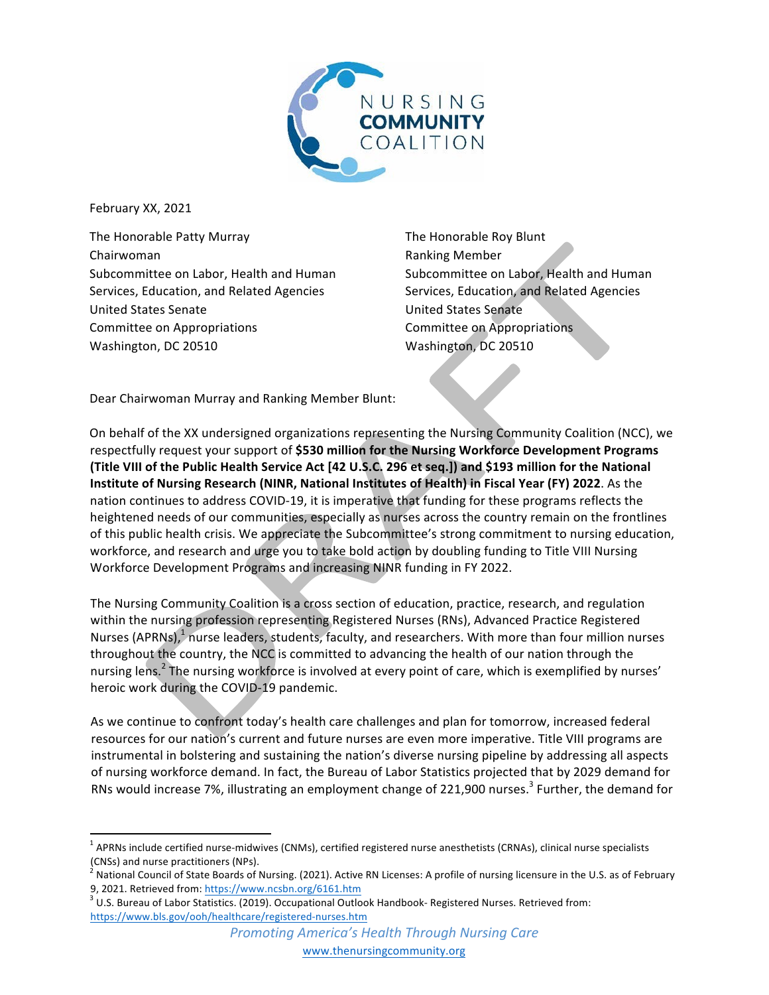

February XX, 2021

The Honorable Patty Murray Chairwoman Subcommittee on Labor, Health and Human Services, Education, and Related Agencies United States Senate Committee on Appropriations Washington, DC 20510

The Honorable Roy Blunt Ranking Member Subcommittee on Labor, Health and Human Services, Education, and Related Agencies United States Senate Committee on Appropriations Washington, DC 20510

Dear Chairwoman Murray and Ranking Member Blunt:

On behalf of the XX undersigned organizations representing the Nursing Community Coalition (NCC), we respectfully request your support of \$530 million for the Nursing Workforce Development Programs **(Title VIII of the Public Health Service Act [42 U.S.C. 296 et seq.]) and \$193 million for the National Institute of Nursing Research (NINR, National Institutes of Health) in Fiscal Year (FY) 2022**. As the nation continues to address COVID-19, it is imperative that funding for these programs reflects the heightened needs of our communities, especially as nurses across the country remain on the frontlines of this public health crisis. We appreciate the Subcommittee's strong commitment to nursing education, workforce, and research and urge you to take bold action by doubling funding to Title VIII Nursing Workforce Development Programs and increasing NINR funding in FY 2022.

The Nursing Community Coalition is a cross section of education, practice, research, and regulation within the nursing profession representing Registered Nurses (RNs), Advanced Practice Registered Nurses (APRNs), $1/n$ urse leaders, students, faculty, and researchers. With more than four million nurses throughout the country, the NCC is committed to advancing the health of our nation through the nursing lens.<sup>2</sup> The nursing workforce is involved at every point of care, which is exemplified by nurses' heroic work during the COVID-19 pandemic.

As we continue to confront today's health care challenges and plan for tomorrow, increased federal resources for our nation's current and future nurses are even more imperative. Title VIII programs are instrumental in bolstering and sustaining the nation's diverse nursing pipeline by addressing all aspects of nursing workforce demand. In fact, the Bureau of Labor Statistics projected that by 2029 demand for RNs would increase 7%, illustrating an employment change of 221,900 nurses.<sup>3</sup> Further, the demand for

 $^1$  APRNs include certified nurse-midwives (CNMs), certified registered nurse anesthetists (CRNAs), clinical nurse specialists (CNSs) and nurse practitioners (NPs).

<sup>&</sup>lt;sup>2</sup> National Council of State Boards of Nursing. (2021). Active RN Licenses: A profile of nursing licensure in the U.S. as of February 9, 2021. Retrieved from: https://www.ncsbn.org/6161.htm<br><sup>3</sup> U.S. Bureau of Labor Statistics. (2019). Occupational Outlook Handbook- Registered Nurses. Retrieved from:

https://www.bls.gov/ooh/healthcare/registered-nurses.htm